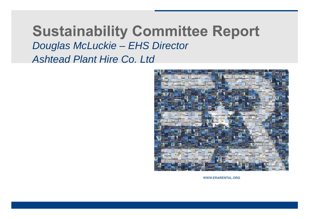# **Sustainability Committee Report** *Douglas McLuckie – EHS Director Ashtead Plant Hire Co. Ltd*



WWW.ERARENTAL.ORG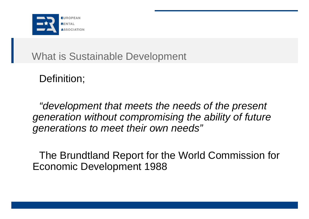

What is Sustainable Development

Definition;

*"development that meets the needs of the present generation without compromising the ability of future generations to meet their own needs"*

The Brundtland Report for the World Commission for Economic Development 1988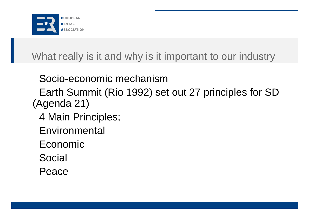

What really is it and why is it important to our industry

Socio-economic mechanism

Earth Summit (Rio 1992) set out 27 principles for SD (Agenda 21)

- 4 Main Principles;
- **Environmental**
- Economic
- Social
- Peace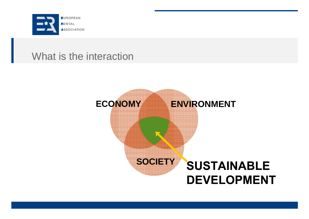

#### What is the interaction

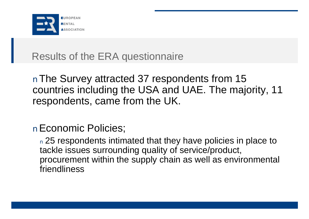

### Results of the ERA questionnaire

nThe Survey attracted 37 respondents from 15 countries including the USA and UAE. The majority, 11 respondents, came from the UK.

#### nEconomic Policies;

n 25 respondents intimated that they have policies in place to tackle issues surrounding quality of service/product, procurement within the supply chain as well as environmental friendliness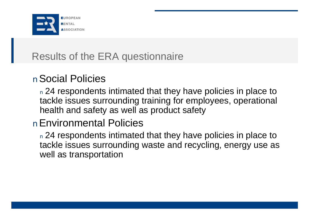

## Results of the ERA questionnaire

#### nSocial Policies

n 24 respondents intimated that they have policies in place to tackle issues surrounding training for employees, operational health and safety as well as product safety

#### nEnvironmental Policies

n 24 respondents intimated that they have policies in place to tackle issues surrounding waste and recycling, energy use as well as transportation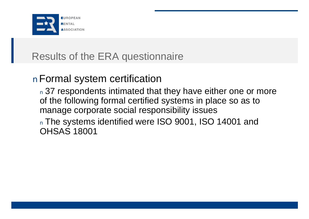

## Results of the ERA questionnaire

#### nFormal system certification

n 37 respondents intimated that they have either one or more of the following formal certified systems in place so as to manage corporate social responsibility issues

<sup>n</sup> The systems identified were ISO 9001, ISO 14001 and OHSAS 18001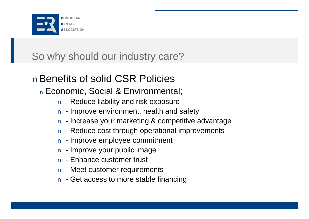

# So why should our industry care?

# nBenefits of solid CSR Policies

<sup>n</sup> Economic, Social & Environmental;

- n Reduce liability and risk exposure
- n Improve environment, health and safety
- n Increase your marketing & competitive advantage
- n Reduce cost through operational improvements
- n Improve employee commitment
- n Improve your public image
- n Enhance customer trust
- n Meet customer requirements
- n Get access to more stable financing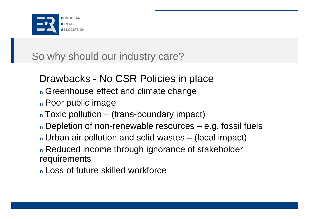

# So why should our industry care?

Drawbacks - No CSR Policies in place <sup>n</sup> Greenhouse effect and climate change <sup>n</sup> Poor public image <sup>n</sup> Toxic pollution – (trans-boundary impact) <sup>n</sup> Depletion of non-renewable resources – e.g. fossil fuels <sup>n</sup> Urban air pollution and solid wastes – (local impact) <sup>n</sup> Reduced income through ignorance of stakeholder requirements

<sup>n</sup> Loss of future skilled workforce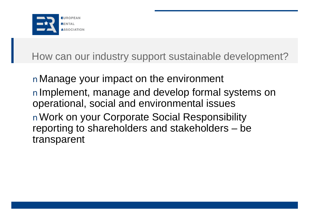

How can our industry support sustainable development?

nManage your impact on the environment nImplement, manage and develop formal systems on operational, social and environmental issues nWork on your Corporate Social Responsibility reporting to shareholders and stakeholders – be transparent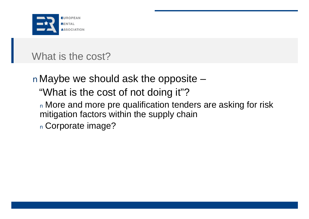

#### What is the cost?

nMaybe we should ask the opposite – "What is the cost of not doing it"? n More and more pre qualification tenders are asking for risk mitigation factors within the supply chain <sup>n</sup> Corporate image?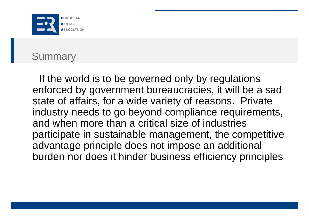

#### **Summary**

If the world is to be governed only by regulations enforced by government bureaucracies, it will be a sad state of affairs, for a wide variety of reasons. Private industry needs to go beyond compliance requirements, and when more than a critical size of industries participate in sustainable management, the competitive advantage principle does not impose an additional burden nor does it hinder business efficiency principles